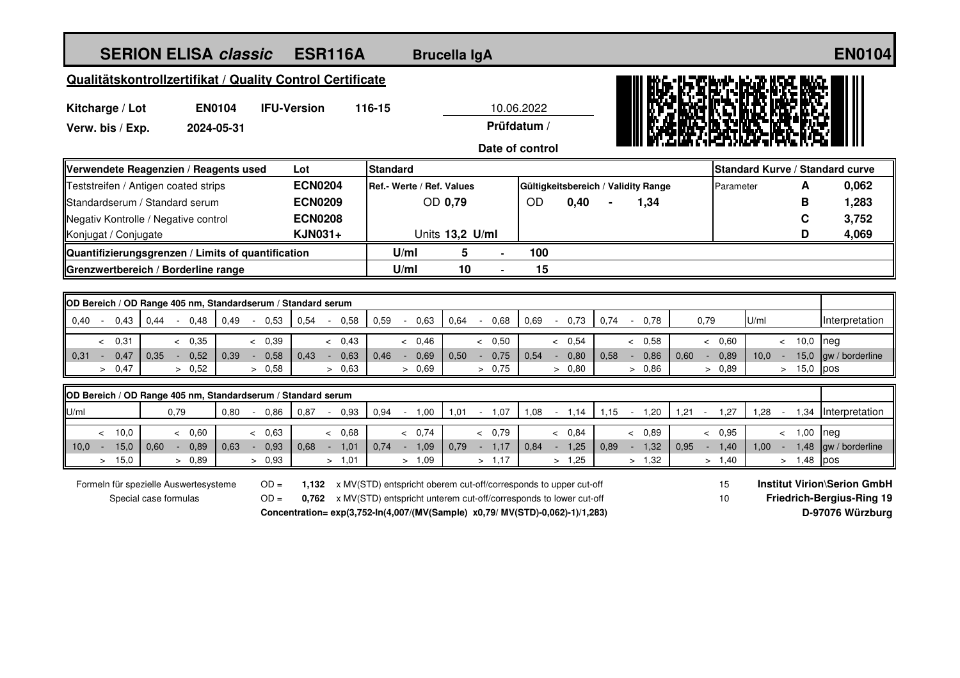| <b>SERION ELISA classic</b>                                                                                                                                           | <b>ESR116A</b>         |      |                                                                         |                        | <b>Brucella IgA</b>                  |        |                                  |      |                                                   | <b>EN0104</b>   |                                     |      |                                  |                |                     |      |                  |       |                 |
|-----------------------------------------------------------------------------------------------------------------------------------------------------------------------|------------------------|------|-------------------------------------------------------------------------|------------------------|--------------------------------------|--------|----------------------------------|------|---------------------------------------------------|-----------------|-------------------------------------|------|----------------------------------|----------------|---------------------|------|------------------|-------|-----------------|
| Qualitätskontrollzertifikat / Quality Control Certificate                                                                                                             |                        |      |                                                                         |                        |                                      |        |                                  |      |                                                   |                 |                                     |      |                                  |                |                     |      |                  |       |                 |
| Kitcharge / Lot                                                                                                                                                       |                        |      |                                                                         | <b>IFU-Version</b>     |                                      | 116-15 |                                  |      |                                                   |                 |                                     |      |                                  |                |                     |      |                  |       |                 |
| <b>EN0104</b><br>Verw. bis / Exp.<br>2024-05-31                                                                                                                       |                        |      |                                                                         |                        |                                      |        | 10.06.2022<br>Prüfdatum /        |      |                                                   |                 |                                     |      |                                  |                |                     |      |                  |       |                 |
|                                                                                                                                                                       |                        |      |                                                                         |                        |                                      |        |                                  |      |                                                   | Date of control |                                     |      |                                  |                |                     |      |                  |       |                 |
|                                                                                                                                                                       |                        |      |                                                                         |                        |                                      |        |                                  |      |                                                   |                 |                                     |      |                                  |                |                     |      |                  |       |                 |
| Verwendete Reagenzien / Reagents used                                                                                                                                 |                        |      |                                                                         | Lot<br><b>ECN0204</b>  | <b>Standard</b>                      |        |                                  |      |                                                   |                 |                                     |      | Standard Kurve / Standard curve  |                |                     |      |                  |       |                 |
| Teststreifen / Antigen coated strips                                                                                                                                  |                        |      |                                                                         | <b>ECN0209</b>         | Ref.- Werte / Ref. Values<br>OD 0,79 |        |                                  |      | Gültigkeitsbereich / Validity Range<br>OD<br>0,40 |                 |                                     | 1,34 |                                  |                | Parameter<br>A<br>B |      |                  | 0,062 |                 |
| Standardserum / Standard serum<br>Negativ Kontrolle / Negative control                                                                                                |                        |      | <b>ECN0208</b>                                                          |                        |                                      |        |                                  |      |                                                   |                 |                                     |      |                                  |                |                     |      | 1,283<br>3,752   |       |                 |
| Konjugat / Conjugate                                                                                                                                                  |                        |      |                                                                         | <b>KJN031+</b>         | Units 13,2 U/ml                      |        |                                  |      |                                                   |                 |                                     |      |                                  |                |                     |      | C<br>D           | 4,069 |                 |
| Quantifizierungsgrenzen / Limits of quantification                                                                                                                    |                        |      |                                                                         |                        |                                      |        | U/ml                             | 5    |                                                   | 100             |                                     |      |                                  |                |                     |      |                  |       |                 |
| Grenzwertbereich / Borderline range                                                                                                                                   |                        |      |                                                                         |                        |                                      |        | U/ml                             | 10   |                                                   | 15              |                                     |      |                                  |                |                     |      |                  |       |                 |
|                                                                                                                                                                       |                        |      |                                                                         |                        |                                      |        |                                  |      |                                                   |                 |                                     |      |                                  |                |                     |      |                  |       |                 |
| OD Bereich / OD Range 405 nm, Standardserum / Standard serum                                                                                                          |                        |      |                                                                         |                        |                                      |        |                                  |      |                                                   |                 |                                     |      |                                  |                |                     |      |                  |       |                 |
| 0,40<br>0,43                                                                                                                                                          | 0,44<br>$-0,48$        | 0,49 | 0,53<br>$\sim$                                                          | 0,54<br>$\blacksquare$ | 0,58                                 | 0,59   | 0,63<br>$\overline{\phantom{a}}$ | 0,64 | 0,68<br>$\mathcal{L}_{\mathcal{A}}$               | 0,69            | 0,73<br>$\sim$                      | 0,74 | 0,78<br>$\sim$                   | 0,79           |                     | U/ml |                  |       | Interpretation  |
| & 0,31                                                                                                                                                                | < 0,35                 |      | < 0.39                                                                  |                        | < 0,43                               |        | < 0,46                           |      | & 0,50                                            |                 | & 0,54                              |      | & 0,58                           |                | < 0,60              |      | $< 10,0$ neg     |       |                 |
| 0,47<br>$0,31 -$                                                                                                                                                      | 0,35<br>0,52<br>$\sim$ | 0,39 | 0,58<br>$\sim$                                                          | 0,43<br>$\sim$         | 0,63                                 | 0,46   | 0,69<br>$\sim$                   | 0,50 | 0,75<br>$\sim$                                    | 0,54            | 0,80<br>$\sim$                      | 0,58 | 0,86<br>$\sim$                   | 0,60<br>$\sim$ | 0,89                | 10,0 | $\sim$           | 15,0  | gw / borderline |
| > 0,47                                                                                                                                                                | > 0,52                 |      | > 0.58                                                                  |                        | > 0,63                               |        | > 0,69                           |      | > 0,75                                            |                 | > 0,80                              |      | > 0,86                           |                | > 0.89              |      | $> 15,0$ pos     |       |                 |
| OD Bereich / OD Range 405 nm, Standardserum / Standard serum                                                                                                          |                        |      |                                                                         |                        |                                      |        |                                  |      |                                                   |                 |                                     |      |                                  |                |                     |      |                  |       |                 |
| U/ml                                                                                                                                                                  | 0,79                   | 0,80 | 0,86<br>$\sim$                                                          | 0,87                   | 0,93                                 | 0,94   | 1,00<br>$\sim$                   | 1,01 | 1,07<br>$\sim$                                    | 1,08            | 1,14<br>$\mathcal{L}_{\mathcal{A}}$ | 1,15 | 1,20<br>$\sim$                   | 1,21<br>$\sim$ | 1,27                | 1,28 | $\sim$           | 1,34  | Interpretation  |
| < 10.0                                                                                                                                                                | < 0.60                 |      | < 0.63                                                                  |                        | < 0,68                               |        | & 0,74                           |      | & 0,79                                            |                 | < 0,84                              |      | < 0,89                           |                | & 0,95              |      | $-1,00$          |       | neg             |
| 15,0<br>$10.0 -$                                                                                                                                                      | 0,60<br>0.89<br>$\sim$ | 0.63 | 0.93<br>$\sim$                                                          | 0.68<br>$-1,01$        |                                      | 0,74   | 1,09<br>$\sim$                   | 0,79 | 1,17<br>$\sim$                                    | 0,84            | $-1,25$                             | 0.89 | 1,32<br>$\sim$                   | 0,95           | $-1,40$             | 1.00 | $\sim$           | 1,48  | gw / borderline |
| > 15.0                                                                                                                                                                | > 0.89                 |      | > 0,93                                                                  |                        | > 1,01                               |        | > 1,09                           |      | > 1,17                                            |                 | > 1,25                              |      | > 1,32                           |                | > 1,40              |      | $> 1,48$ pos     |       |                 |
| <b>Institut Virion\Serion GmbH</b><br>Formeln für spezielle Auswertesysteme<br>$OD =$<br>1,132 x MV(STD) entspricht oberem cut-off/corresponds to upper cut-off<br>15 |                        |      |                                                                         |                        |                                      |        |                                  |      |                                                   |                 |                                     |      |                                  |                |                     |      |                  |       |                 |
| Special case formulas                                                                                                                                                 |                        |      | 0,762 x MV(STD) entspricht unterem cut-off/corresponds to lower cut-off |                        |                                      |        |                                  |      | 10 <sup>10</sup>                                  |                 |                                     |      | <b>Friedrich-Bergius-Ring 19</b> |                |                     |      |                  |       |                 |
| Concentration=exp(3,752-In(4,007/(MV(Sample) x0,79/ MV(STD)-0,062)-1)/1,283)                                                                                          |                        |      |                                                                         |                        |                                      |        |                                  |      |                                                   |                 |                                     |      |                                  |                |                     |      | D-97076 Würzburg |       |                 |
|                                                                                                                                                                       |                        |      |                                                                         |                        |                                      |        |                                  |      |                                                   |                 |                                     |      |                                  |                |                     |      |                  |       |                 |
|                                                                                                                                                                       |                        |      |                                                                         |                        |                                      |        |                                  |      |                                                   |                 |                                     |      |                                  |                |                     |      |                  |       |                 |
|                                                                                                                                                                       |                        |      |                                                                         |                        |                                      |        |                                  |      |                                                   |                 |                                     |      |                                  |                |                     |      |                  |       |                 |
|                                                                                                                                                                       |                        |      |                                                                         |                        |                                      |        |                                  |      |                                                   |                 |                                     |      |                                  |                |                     |      |                  |       |                 |
|                                                                                                                                                                       |                        |      |                                                                         |                        |                                      |        |                                  |      |                                                   |                 |                                     |      |                                  |                |                     |      |                  |       |                 |